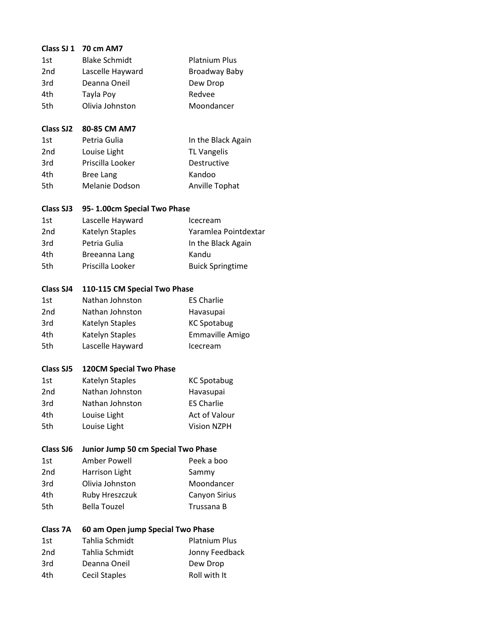| Class SJ 1       | <b>70 cm AM7</b>                    |                         |
|------------------|-------------------------------------|-------------------------|
| 1st              | <b>Blake Schmidt</b>                | <b>Platnium Plus</b>    |
| 2 <sub>nd</sub>  | Lascelle Hayward                    | <b>Broadway Baby</b>    |
| 3rd              | Deanna Oneil                        | Dew Drop                |
| 4th              | Tayla Poy                           | Redvee                  |
| 5th              | Olivia Johnston                     | Moondancer              |
| <b>Class SJ2</b> | 80-85 CM AM7                        |                         |
| 1st              | Petria Gulia                        | In the Black Again      |
| 2 <sub>nd</sub>  | Louise Light                        | <b>TL Vangelis</b>      |
| 3rd              | Priscilla Looker                    | Destructive             |
| 4th              | <b>Bree Lang</b>                    | Kandoo                  |
| 5th              | <b>Melanie Dodson</b>               | Anville Tophat          |
| <b>Class SJ3</b> | 95-1.00cm Special Two Phase         |                         |
| 1st              | Lascelle Hayward                    | Icecream                |
| 2 <sub>nd</sub>  | Katelyn Staples                     | Yaramlea Pointdextar    |
| 3rd              | Petria Gulia                        | In the Black Again      |
| 4th              | Breeanna Lang                       | Kandu                   |
| 5th              | Priscilla Looker                    | <b>Buick Springtime</b> |
| Class SJ4        | 110-115 CM Special Two Phase        |                         |
| 1st              | Nathan Johnston                     | <b>ES Charlie</b>       |
| 2 <sub>nd</sub>  | Nathan Johnston                     | Havasupai               |
| 3rd              | Katelyn Staples                     | <b>KC Spotabug</b>      |
| 4th              | Katelyn Staples                     | Emmaville Amigo         |
| 5th              | Lascelle Hayward                    | Icecream                |
| <b>Class SJ5</b> | <b>120CM Special Two Phase</b>      |                         |
| 1st              | Katelyn Staples                     | <b>KC Spotabug</b>      |
| 2nd              | Nathan Johnston                     | Havasupai               |
| 3rd              | Nathan Johnston                     | <b>ES Charlie</b>       |
| 4th              | Louise Light                        | <b>Act of Valour</b>    |
| 5th              | Louise Light                        | <b>Vision NZPH</b>      |
| <b>Class SJ6</b> | Junior Jump 50 cm Special Two Phase |                         |
| 1st              | <b>Amber Powell</b>                 | Peek a boo              |
| 2nd              | Harrison Light                      | Sammy                   |
| 3rd              | Olivia Johnston                     | Moondancer              |
| 4th              | Ruby Hreszczuk                      | Canyon Sirius           |
| 5th              | <b>Bella Touzel</b>                 | Trussana B              |
| Class 7A         | 60 am Open jump Special Two Phase   |                         |
| 1st              | Tahlia Schmidt                      | <b>Platnium Plus</b>    |
| 2nd              | Tahlia Schmidt                      | Jonny Feedback          |
| 3rd              | Deanna Oneil                        | Dew Drop                |
| 4th              | <b>Cecil Staples</b>                | Roll with It            |